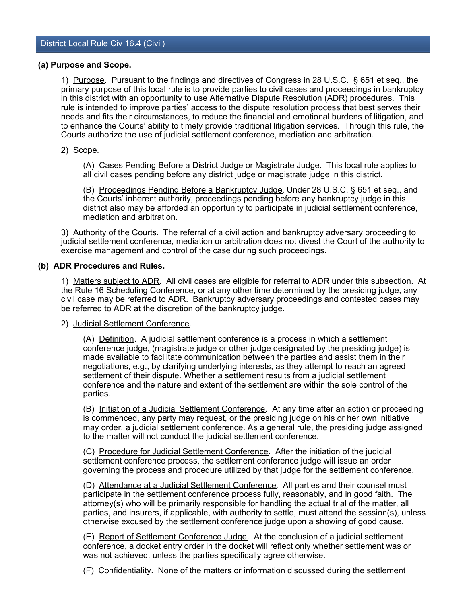### **(a) Purpose and Scope.**

1) Purpose. Pursuant to the findings and directives of Congress in 28 U.S.C. § 651 et seq., the primary purpose of this local rule is to provide parties to civil cases and proceedings in bankruptcy in this district with an opportunity to use Alternative Dispute Resolution (ADR) procedures. This rule is intended to improve parties' access to the dispute resolution process that best serves their needs and fits their circumstances, to reduce the financial and emotional burdens of litigation, and to enhance the Courts' ability to timely provide traditional litigation services. Through this rule, the Courts authorize the use of judicial settlement conference, mediation and arbitration.

## 2) Scope.

(A) Cases Pending Before a District Judge or Magistrate Judge. This local rule applies to all civil cases pending before any district judge or magistrate judge in this district.

(B) Proceedings Pending Before a Bankruptcy Judge. Under 28 U.S.C. § 651 et seq., and the Courts' inherent authority, proceedings pending before any bankruptcy judge in this district also may be afforded an opportunity to participate in judicial settlement conference, mediation and arbitration.

3) Authority of the Courts. The referral of a civil action and bankruptcy adversary proceeding to judicial settlement conference, mediation or arbitration does not divest the Court of the authority to exercise management and control of the case during such proceedings.

## **(b) ADR Procedures and Rules.**

1) Matters subject to ADR. All civil cases are eligible for referral to ADR under this subsection. At the Rule 16 Scheduling Conference, or at any other time determined by the presiding judge, any civil case may be referred to ADR. Bankruptcy adversary proceedings and contested cases may be referred to ADR at the discretion of the bankruptcy judge.

### 2) Judicial Settlement Conference.

(A) Definition. A judicial settlement conference is a process in which a settlement conference judge, (magistrate judge or other judge designated by the presiding judge) is made available to facilitate communication between the parties and assist them in their negotiations, e.g., by clarifying underlying interests, as they attempt to reach an agreed settlement of their dispute. Whether a settlement results from a judicial settlement conference and the nature and extent of the settlement are within the sole control of the parties.

(B) Initiation of a Judicial Settlement Conference. At any time after an action or proceeding is commenced, any party may request, or the presiding judge on his or her own initiative may order, a judicial settlement conference. As a general rule, the presiding judge assigned to the matter will not conduct the judicial settlement conference.

(C) Procedure for Judicial Settlement Conference. After the initiation of the judicial settlement conference process, the settlement conference judge will issue an order governing the process and procedure utilized by that judge for the settlement conference.

(D) Attendance at a Judicial Settlement Conference. All parties and their counsel must participate in the settlement conference process fully, reasonably, and in good faith. The attorney(s) who will be primarily responsible for handling the actual trial of the matter, all parties, and insurers, if applicable, with authority to settle, must attend the session(s), unless otherwise excused by the settlement conference judge upon a showing of good cause.

(E) Report of Settlement Conference Judge. At the conclusion of a judicial settlement conference, a docket entry order in the docket will reflect only whether settlement was or was not achieved, unless the parties specifically agree otherwise.

(F) Confidentiality. None of the matters or information discussed during the settlement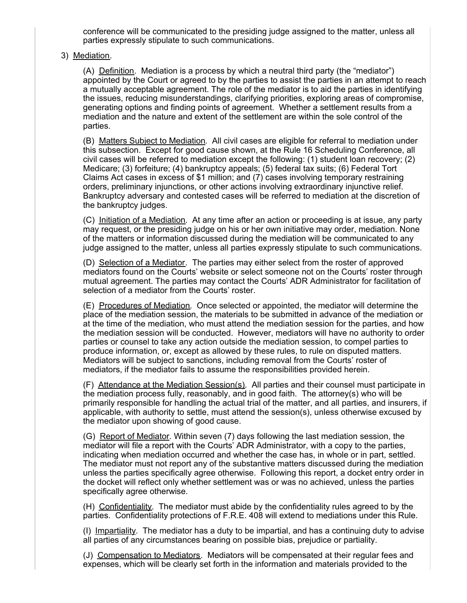conference will be communicated to the presiding judge assigned to the matter, unless all parties expressly stipulate to such communications.

### 3) Mediation.

(A) Definition. Mediation is a process by which a neutral third party (the "mediator") appointed by the Court or agreed to by the parties to assist the parties in an attempt to reach a mutually acceptable agreement. The role of the mediator is to aid the parties in identifying the issues, reducing misunderstandings, clarifying priorities, exploring areas of compromise, generating options and finding points of agreement. Whether a settlement results from a mediation and the nature and extent of the settlement are within the sole control of the parties.

(B) Matters Subject to Mediation. All civil cases are eligible for referral to mediation under this subsection. Except for good cause shown, at the Rule 16 Scheduling Conference, all civil cases will be referred to mediation except the following: (1) student loan recovery; (2) Medicare; (3) forfeiture; (4) bankruptcy appeals; (5) federal tax suits; (6) Federal Tort Claims Act cases in excess of \$1 million; and (7) cases involving temporary restraining orders, preliminary injunctions, or other actions involving extraordinary injunctive relief. Bankruptcy adversary and contested cases will be referred to mediation at the discretion of the bankruptcy judges.

(C) Initiation of a Mediation. At any time after an action or proceeding is at issue, any party may request, or the presiding judge on his or her own initiative may order, mediation. None of the matters or information discussed during the mediation will be communicated to any judge assigned to the matter, unless all parties expressly stipulate to such communications.

(D) Selection of a Mediator. The parties may either select from the roster of approved mediators found on the Courts' website or select someone not on the Courts' roster through mutual agreement. The parties may contact the Courts' ADR Administrator for facilitation of selection of a mediator from the Courts' roster.

(E) Procedures of Mediation. Once selected or appointed, the mediator will determine the place of the mediation session, the materials to be submitted in advance of the mediation or at the time of the mediation, who must attend the mediation session for the parties, and how the mediation session will be conducted. However, mediators will have no authority to order parties or counsel to take any action outside the mediation session, to compel parties to produce information, or, except as allowed by these rules, to rule on disputed matters. Mediators will be subject to sanctions, including removal from the Courts' roster of mediators, if the mediator fails to assume the responsibilities provided herein.

(F) Attendance at the Mediation Session(s). All parties and their counsel must participate in the mediation process fully, reasonably, and in good faith. The attorney(s) who will be primarily responsible for handling the actual trial of the matter, and all parties, and insurers, if applicable, with authority to settle, must attend the session(s), unless otherwise excused by the mediator upon showing of good cause.

(G) Report of Mediator. Within seven (7) days following the last mediation session, the mediator will file a report with the Courts' ADR Administrator, with a copy to the parties, indicating when mediation occurred and whether the case has, in whole or in part, settled. The mediator must not report any of the substantive matters discussed during the mediation unless the parties specifically agree otherwise. Following this report, a docket entry order in the docket will reflect only whether settlement was or was no achieved, unless the parties specifically agree otherwise.

(H) Confidentiality. The mediator must abide by the confidentiality rules agreed to by the parties. Confidentiality protections of F.R.E. 408 will extend to mediations under this Rule.

(I) Impartiality. The mediator has a duty to be impartial, and has a continuing duty to advise all parties of any circumstances bearing on possible bias, prejudice or partiality.

(J) Compensation to Mediators. Mediators will be compensated at their regular fees and expenses, which will be clearly set forth in the information and materials provided to the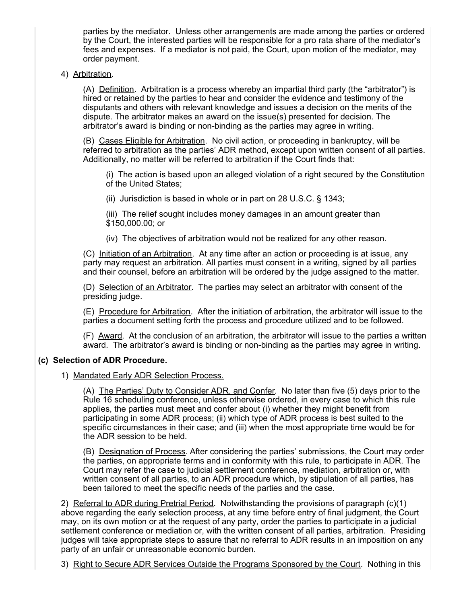parties by the mediator. Unless other arrangements are made among the parties or ordered by the Court, the interested parties will be responsible for a pro rata share of the mediator's fees and expenses. If a mediator is not paid, the Court, upon motion of the mediator, may order payment.

# 4) Arbitration.

(A) Definition. Arbitration is a process whereby an impartial third party (the "arbitrator") is hired or retained by the parties to hear and consider the evidence and testimony of the disputants and others with relevant knowledge and issues a decision on the merits of the dispute. The arbitrator makes an award on the issue(s) presented for decision. The arbitrator's award is binding or non-binding as the parties may agree in writing.

(B) Cases Eligible for Arbitration. No civil action, or proceeding in bankruptcy, will be referred to arbitration as the parties' ADR method, except upon written consent of all parties. Additionally, no matter will be referred to arbitration if the Court finds that:

(i) The action is based upon an alleged violation of a right secured by the Constitution of the United States;

(ii) Jurisdiction is based in whole or in part on 28 U.S.C. § 1343;

(iii) The relief sought includes money damages in an amount greater than \$150,000.00; or

(iv) The objectives of arbitration would not be realized for any other reason.

(C) Initiation of an Arbitration. At any time after an action or proceeding is at issue, any party may request an arbitration. All parties must consent in a writing, signed by all parties and their counsel, before an arbitration will be ordered by the judge assigned to the matter.

(D) Selection of an Arbitrator. The parties may select an arbitrator with consent of the presiding judge.

(E) Procedure for Arbitration. After the initiation of arbitration, the arbitrator will issue to the parties a document setting forth the process and procedure utilized and to be followed.

(F) Award. At the conclusion of an arbitration, the arbitrator will issue to the parties a written award. The arbitrator's award is binding or non-binding as the parties may agree in writing.

# **(c) Selection of ADR Procedure.**

### 1) Mandated Early ADR Selection Process.

(A) The Parties' Duty to Consider ADR, and Confer. No later than five (5) days prior to the Rule 16 scheduling conference, unless otherwise ordered, in every case to which this rule applies, the parties must meet and confer about (i) whether they might benefit from participating in some ADR process; (ii) which type of ADR process is best suited to the specific circumstances in their case; and (iii) when the most appropriate time would be for the ADR session to be held.

(B) Designation of Process. After considering the parties' submissions, the Court may order the parties, on appropriate terms and in conformity with this rule, to participate in ADR. The Court may refer the case to judicial settlement conference, mediation, arbitration or, with written consent of all parties, to an ADR procedure which, by stipulation of all parties, has been tailored to meet the specific needs of the parties and the case.

2) Referral to ADR during Pretrial Period. Notwithstanding the provisions of paragraph (c)(1) above regarding the early selection process, at any time before entry of final judgment, the Court may, on its own motion or at the request of any party, order the parties to participate in a judicial settlement conference or mediation or, with the written consent of all parties, arbitration. Presiding judges will take appropriate steps to assure that no referral to ADR results in an imposition on any party of an unfair or unreasonable economic burden.

3) Right to Secure ADR Services Outside the Programs Sponsored by the Court. Nothing in this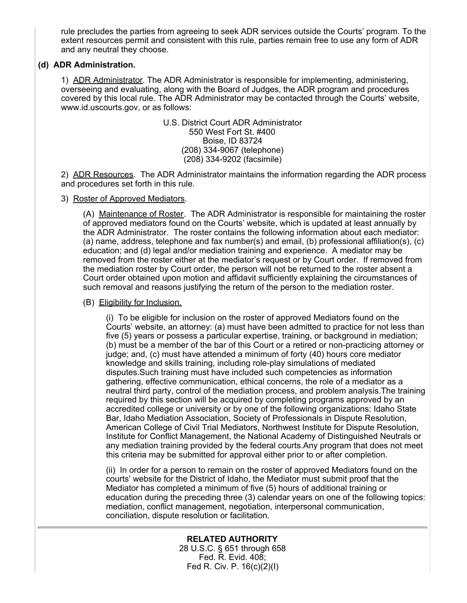rule precludes the parties from agreeing to seek ADR services outside the Courts' program. To the extent resources permit and consistent with this rule, parties remain free to use any form of ADR and any neutral they choose.

# **(d) ADR Administration.**

1) ADR Administrator. The ADR Administrator is responsible for implementing, administering, overseeing and evaluating, along with the Board of Judges, the ADR program and procedures covered by this local rule. The ADR Administrator may be contacted through the Courts' website, www.id.uscourts.gov, or as follows:

> U.S. District Court ADR Administrator 550 West Fort St. #400 Boise, ID 83724 (208) 334-9067 (telephone) (208) 334-9202 (facsimile)

2) ADR Resources. The ADR Administrator maintains the information regarding the ADR process and procedures set forth in this rule.

### 3) Roster of Approved Mediators.

(A) Maintenance of Roster. The ADR Administrator is responsible for maintaining the roster of approved mediators found on the Courts' website, which is updated at least annually by the ADR Administrator. The roster contains the following information about each mediator: (a) name, address, telephone and fax number(s) and email, (b) professional affiliation(s), (c) education; and (d) legal and/or mediation training and experience. A mediator may be removed from the roster either at the mediator's request or by Court order. If removed from the mediation roster by Court order, the person will not be returned to the roster absent a Court order obtained upon motion and affidavit sufficiently explaining the circumstances of such removal and reasons justifying the return of the person to the mediation roster.

### (B) Eligibility for Inclusion.

(i) To be eligible for inclusion on the roster of approved Mediators found on the Courts' website, an attorney: (a) must have been admitted to practice for not less than five (5) years or possess a particular expertise, training, or background in mediation; (b) must be a member of the bar of this Court or a retired or non-practicing attorney or judge; and, (c) must have attended a minimum of forty (40) hours core mediator knowledge and skills training, including role-play simulations of mediated disputes.Such training must have included such competencies as information gathering, effective communication, ethical concerns, the role of a mediator as a neutral third party, control of the mediation process, and problem analysis.The training required by this section will be acquired by completing programs approved by an accredited college or university or by one of the following organizations: Idaho State Bar, Idaho Mediation Association, Society of Professionals in Dispute Resolution, American College of Civil Trial Mediators, Northwest Institute for Dispute Resolution, Institute for Conflict Management, the National Academy of Distinguished Neutrals or any mediation training provided by the federal courts.Any program that does not meet this criteria may be submitted for approval either prior to or after completion.

(ii) In order for a person to remain on the roster of approved Mediators found on the courts' website for the District of Idaho, the Mediator must submit proof that the Mediator has completed a minimum of five (5) hours of additional training or education during the preceding three (3) calendar years on one of the following topics: mediation, conflict management, negotiation, interpersonal communication, conciliation, dispute resolution or facilitation.

> **RELATED AUTHORITY** 28 U.S.C. § 651 through 658 Fed. R. Evid. 408; Fed R. Civ. P. 16(c)(2)(I)